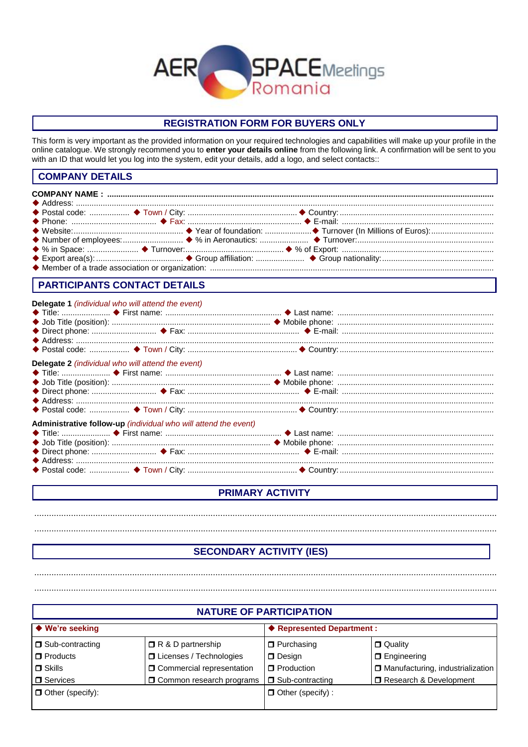

# **REGISTRATION FORM FOR BUYERS ONLY**

This form is very important as the provided information on your required technologies and capabilities will make up your profile in the online catalogue. We strongly recommend you to enter your details online from the following link. A confirmation will be sent to you with an ID that would let you log into the system, edit your details, add a logo, and select contacts::

## **COMPANY DETAILS**

| <b>PARTICIPANTS CONTACT DETAILS</b>                      |                                                                                                                                                                                                                                                                                          |  |
|----------------------------------------------------------|------------------------------------------------------------------------------------------------------------------------------------------------------------------------------------------------------------------------------------------------------------------------------------------|--|
| <b>Delegate 1</b> (individual who will attend the event) |                                                                                                                                                                                                                                                                                          |  |
|                                                          |                                                                                                                                                                                                                                                                                          |  |
|                                                          |                                                                                                                                                                                                                                                                                          |  |
|                                                          |                                                                                                                                                                                                                                                                                          |  |
|                                                          |                                                                                                                                                                                                                                                                                          |  |
|                                                          |                                                                                                                                                                                                                                                                                          |  |
| Delegate 2 (individual who will attend the event)        |                                                                                                                                                                                                                                                                                          |  |
|                                                          |                                                                                                                                                                                                                                                                                          |  |
|                                                          | $\mathbf{r}$ , and $\mathbf{r}$ , and $\mathbf{r}$ , and $\mathbf{r}$ , and $\mathbf{r}$ , and $\mathbf{r}$ , and $\mathbf{r}$ , and $\mathbf{r}$ , and $\mathbf{r}$ , and $\mathbf{r}$ , and $\mathbf{r}$ , and $\mathbf{r}$ , and $\mathbf{r}$ , and $\mathbf{r}$ , and $\mathbf{r}$ , |  |

| Administrative follow-up (individual who will attend the event) |  |
|-----------------------------------------------------------------|--|
|                                                                 |  |
|                                                                 |  |
|                                                                 |  |
|                                                                 |  |

# **PRIMARY ACTIVITY**

# **SECONDARY ACTIVITY (IES)**

**NATURE OF PARTICIPATION** ◆ We're seeking ♦ Represented Department : Sub-contracting R & D partnership **O** Quality  $\Box$  Purchasing  $\Box$  Products **O** Licenses / Technologies  $\Box$  Design **D** Engineering  $\blacksquare$  Skills **O** Commercial representation  $\Box$  Production Manufacturing, industrialization □ Services **O** Common research programs Sub-contracting Research & Development Other (specify): Other (specify) :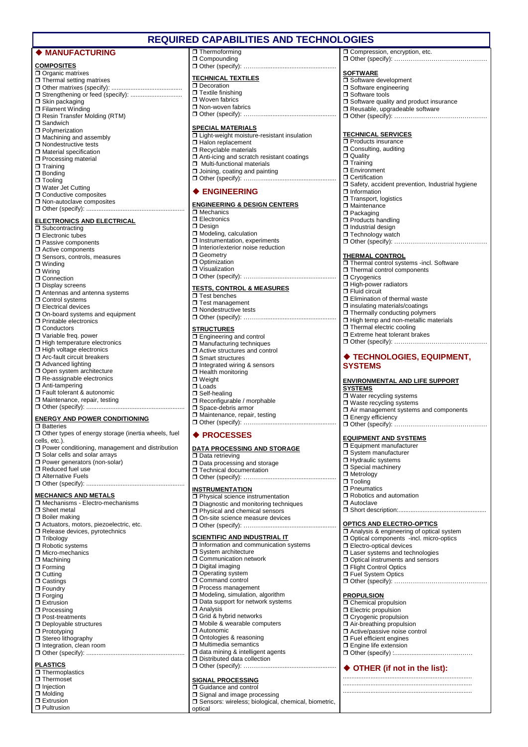## **REQUIRED CAPABILITIES AND TECHNOLOGIES**

## **MANUFACTURING**

**COMPOSITES** Organic matrixes  $\Box$  Thermal setting matrixes  $\Box$  Other matrixes (specify): □ Strengthening or feed (specify): ....  $\square$  Skin packaging □ Filament Winding □ Resin Transfer Molding (RTM) □ Sandwich **D** Polymerization  $\square$  Machining and assembly □ Nondestructive tests  $\square$  Material specification **Processing material**  $\Box$  Training  $\Box$  Bonding □ Tooling □ Water Jet Cutting O Conductive composites □ Non-autoclave composites

#### **ELECTRONICS AND ELECTRICAL**

 $\Box$  Other (specify):

**O** Subcontracting **Electronic tubes**  $\Box$  Passive components  $\Box$  Active components □ Sensors, controls, measures Winding □ Wiring O Connection **Display screens** □ Antennas and antenna systems **n** Control systems Electrical devices On-board systems and equipment **Printable electronics** O Conductors □ Variable freq. power  $\Box$  High temperature electronics High voltage electronics □ Arc-fault circuit breakers □ Advanced lighting Open system architecture Re-assignable electronics Anti-tampering **Fault tolerant & autonomic**  $\square$  Maintenance, repair, testing  $\blacksquare$  Other (specify):

#### **ENERGY AND POWER CONDITIONING**

- **Batteries**
- □ Differment of energy storage (inertia wheels, fuel cells, etc.). **Power conditioning, management and distribution**
- Solar cells and solar arrays
- **Power generators (non-solar)**
- □ Reduced fuel use
- **D** Alternative Fuels  $\Box$  Other (specify):
- **MECHANICS AND METALS** Mechanisms - Electro-mechanisms Sheet metal **D** Boiler making □ Actuators, motors, piezoelectric, etc. Release devices, pyrotechnics Tribology Robotic systems □ Micro-mechanics  $\square$  Machining **D** Forming □ Cutting □ Castings **n** Foundry **D** Forging **D** Extrusion **Processing D** Post-treatments Deployable structures □ Prototyping □ Stereo lithography □ Integration, clean room  $\Box$  Other (specify): .....

#### **PLASTICS**

**Thermoplastics** □ Thermoset  $\Box$  Injection  $\P$  Molding  $\n **Extusion**\n$ **Pultrusion** 

Thermoforming **O** Compounding  $\Box$  Other (specify):

#### **TECHNICAL TEXTILES**

**Decoration**  $\Box$  Textile finishing Woven fabrics □ Non-woven fabrics  $\Box$  Other (specify):

#### **SPECIAL MATERIALS**

□ Light-weight moisture-resistant insulation **Halon replacement** □ Recyclable materials  $\square$  Anti-icing and scratch resistant coatings □ Multi-functional materials  $\square$  Joining, coating and painting  $\Box$  Other (specify):  $\dots$ 

### **ENGINEERING**

#### **ENGINEERING & DESIGN CENTERS**

 $\overline{\Box}$  Mechanics **T** Electronics **Design**  $\square$  Modeling, calculation  $\Box$  Instrumentation, experiments □ Interior/exterior noise reduction □ Geometry Optimization  $\overline{\mathsf{U}}$  Visualization □ Other (specify): ............

#### **TESTS, CONTROL & MEASURES**

**Test benches**  $\square$  Test management Nondestructive tests  $\Box$  Other (specify): ........

#### **STRUCTURES**

**Engineering and control** □ Manufacturing techniques  $\square$  Active structures and control Smart structures □ Integrated wiring & sensors  $\Pi$  Health monitoring □ Weight Loads Self-healing Reconfigurable / morphable □ Space-debris armor  $\P$  Maintenance, repair, testing  $\Box$  Other (specify):

#### ◆ PROCESSES

#### **DATA PROCESSING AND STORAGE**

Data retrieving □ Data processing and storage **T** Technical documentation Other (specify):

### **INSTRUMENTATION**

**Physical science instrumentation** □ Diagnostic and monitoring techniques □ Physical and chemical sensors On-site science measure devices  $\Box$  Other (specify): ..........

### **SCIENTIFIC AND INDUSTRIAL IT**

 $\square$  Information and communication systems □ System architecture **D** Communication network Digital imaging Operating system O Command control **Process management**  $\square$  Modeling, simulation, algorithm D Data support for network systems Analysis Grid & hybrid networks □ Mobile & wearable computers Autonomic Ontologies & reasoning □ Multimedia semantics  $\Box$  data mining & intelligent agents  $\Box$  Distributed data collection  $\Box$  Other (specify):

## **SIGNAL PROCESSING**

- Guidance and control
- **J** Signal and image processing Sensors: wireless; biological, chemical, biometric, optical

O Compression, encryption, etc.  $\Box$  Other (specify): ..

#### **SOFTWARE**

- Software development **O** Software engineering
- □ Software tools
- $\Box$  Software quality and product insurance
- Reusable, upgradeable software
- □ Other (specify): ......................

#### **TECHNICAL SERVICES**

- **Products insurance** O Consulting, auditing **D** Quality **Training** □ Final Line **O** Certification □ Safety, accident prevention, Industrial hygiene  $\Box$  Information **T** Transport, logistics **D** Maintenance □ Packaging **Products handling**  $\Box$  Industrial design **T** Technology watch
- Other (specify): ………………………………………

#### **THERMAL CONTROL**

**T** Thermal control systems -incl. Software **T** Thermal control components **O** Cryogenics □ High-power radiators **Fluid circuit**  $\Box$  Elimination of thermal waste  $\square$  insulating materials/coatings **Thermally conducting polymers**  $\Box$  High temp and non-metallic materials **Thermal electric cooling** □ Extreme heat tolerant brakes  $\Box$  Other (specify): ...............

### **TECHNOLOGIES, EQUIPMENT, SYSTEMS**

# **ENVIRONMENTAL AND LIFE SUPPORT**

**SYSTEMS D** Water recycling systems  $\square$  Waste recycling systems □ Air management systems and components **Energy efficiency**  $\Box$  Other (specify):  $\ldots$ 

#### **EQUIPMENT AND SYSTEMS**

**E**quipment manufacturer System manufacturer  $\Box$  Hydraulic systems  $\square$  Special machinery □ Metrology  $\Box$ Tooling **P**neumatics □ Robotics and automation □ Autoclave  $\blacksquare$  Short description:...

#### **OPTICS AND ELECTRO-OPTICS**

- □ Analysis & engineering of optical system □ Optical components -incl. micro-optics
- **Electro-optical devices**
- $\square$  Laser systems and technologies
- $\Box$  Optical instruments and sensors
- Flight Control Optics
- **D** Fuel System Optics
- □ Other (specify): ………………………………………

#### **PROPULSION**

- **D** Chemical propulsion
- **Electric propulsion**
- **Cryogenic propulsion**
- $\square$  Air-breathing propulsion
- $\square$  Active/passive noise control Fuel efficient engines
- □ Engine life extension
- $\Box$  Other (specify) :.....

### **OTHER (if not in the list):**

...........................................................................

........................................................................... ...........................................................................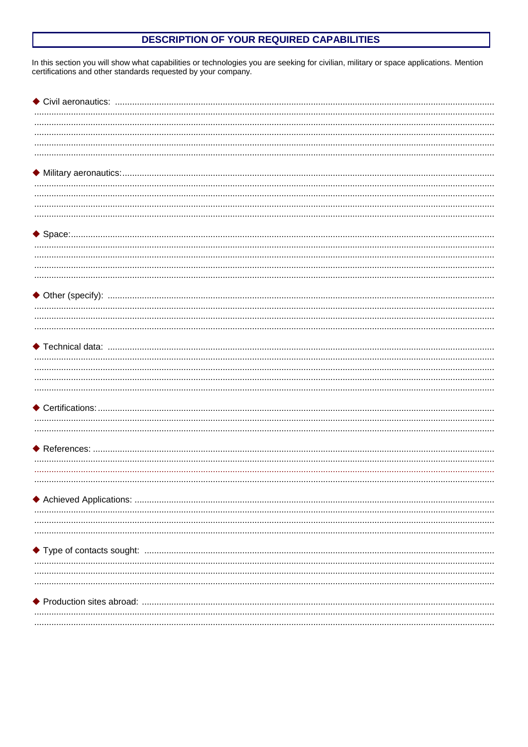# DESCRIPTION OF YOUR REQUIRED CAPABILITIES

In this section you will show what capabilities or technologies you are seeking for civilian, military or space applications. Mention certifications and other standards requested by your company.